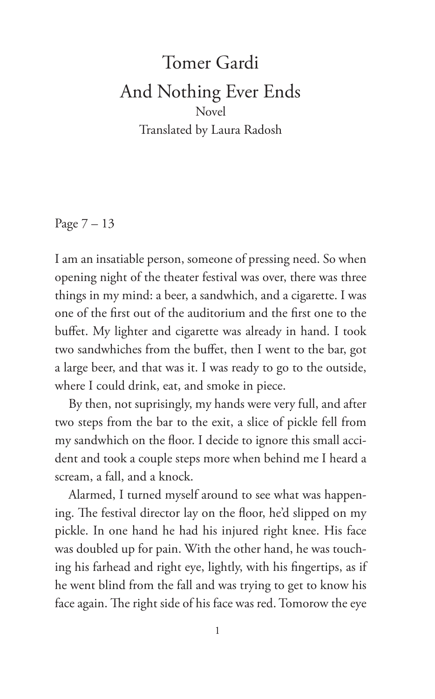## Tomer Gardi And Nothing Ever Ends Novel Translated by Laura Radosh

Page 7 – 13

I am an insatiable person, someone of pressing need. So when opening night of the theater festival was over, there was three things in my mind: a beer, a sandwhich, and a cigarette. I was one of the first out of the auditorium and the first one to the buffet. My lighter and cigarette was already in hand. I took two sandwhiches from the buffet, then I went to the bar, got a large beer, and that was it. I was ready to go to the outside, where I could drink, eat, and smoke in piece.

By then, not suprisingly, my hands were very full, and after two steps from the bar to the exit, a slice of pickle fell from my sandwhich on the floor. I decide to ignore this small accident and took a couple steps more when behind me I heard a scream, a fall, and a knock.

Alarmed, I turned myself around to see what was happening. The festival director lay on the floor, he'd slipped on my pickle. In one hand he had his injured right knee. His face was doubled up for pain. With the other hand, he was touching his farhead and right eye, lightly, with his fingertips, as if he went blind from the fall and was trying to get to know his face again. The right side of his face was red. Tomorow the eye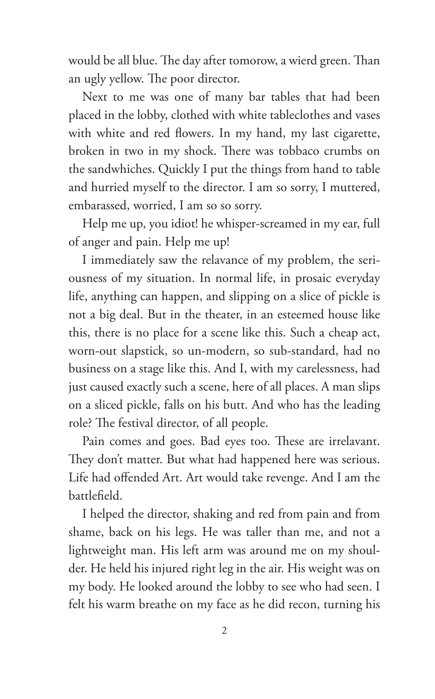would be all blue. The day after tomorow, a wierd green. Than an ugly yellow. The poor director.

Next to me was one of many bar tables that had been placed in the lobby, clothed with white tableclothes and vases with white and red flowers. In my hand, my last cigarette, broken in two in my shock. There was tobbaco crumbs on the sandwhiches. Quickly I put the things from hand to table and hurried myself to the director. I am so sorry, I muttered, embarassed, worried, I am so so sorry.

Help me up, you idiot! he whisper-screamed in my ear, full of anger and pain. Help me up!

I immediately saw the relavance of my problem, the seriousness of my situation. In normal life, in prosaic everyday life, anything can happen, and slipping on a slice of pickle is not a big deal. But in the theater, in an esteemed house like this, there is no place for a scene like this. Such a cheap act, worn-out slapstick, so un-modern, so sub-standard, had no business on a stage like this. And I, with my carelessness, had just caused exactly such a scene, here of all places. A man slips on a sliced pickle, falls on his butt. And who has the leading role? The festival director, of all people.

Pain comes and goes. Bad eyes too. These are irrelavant. They don't matter. But what had happened here was serious. Life had offended Art. Art would take revenge. And I am the battlefield.

I helped the director, shaking and red from pain and from shame, back on his legs. He was taller than me, and not a lightweight man. His left arm was around me on my shoulder. He held his injured right leg in the air. His weight was on my body. He looked around the lobby to see who had seen. I felt his warm breathe on my face as he did recon, turning his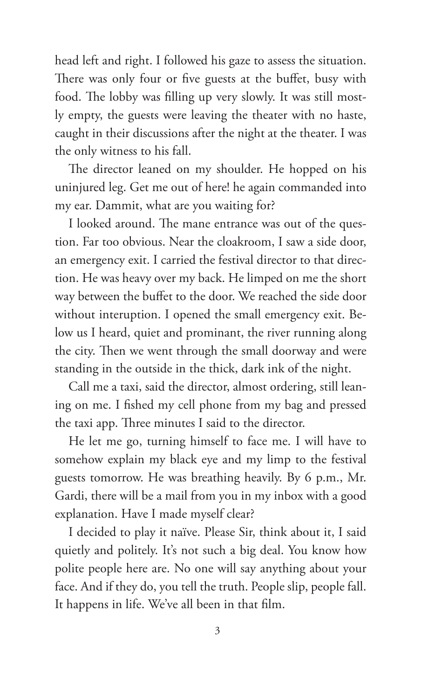head left and right. I followed his gaze to assess the situation. There was only four or five guests at the buffet, busy with food. The lobby was filling up very slowly. It was still mostly empty, the guests were leaving the theater with no haste, caught in their discussions after the night at the theater. I was the only witness to his fall.

The director leaned on my shoulder. He hopped on his uninjured leg. Get me out of here! he again commanded into my ear. Dammit, what are you waiting for?

I looked around. The mane entrance was out of the question. Far too obvious. Near the cloakroom, I saw a side door, an emergency exit. I carried the festival director to that direction. He was heavy over my back. He limped on me the short way between the buffet to the door. We reached the side door without interuption. I opened the small emergency exit. Below us I heard, quiet and prominant, the river running along the city. Then we went through the small doorway and were standing in the outside in the thick, dark ink of the night.

Call me a taxi, said the director, almost ordering, still leaning on me. I fished my cell phone from my bag and pressed the taxi app. Three minutes I said to the director.

He let me go, turning himself to face me. I will have to somehow explain my black eye and my limp to the festival guests tomorrow. He was breathing heavily. By 6 p.m., Mr. Gardi, there will be a mail from you in my inbox with a good explanation. Have I made myself clear?

I decided to play it naïve. Please Sir, think about it, I said quietly and politely. It's not such a big deal. You know how polite people here are. No one will say anything about your face. And if they do, you tell the truth. People slip, people fall. It happens in life. We've all been in that film.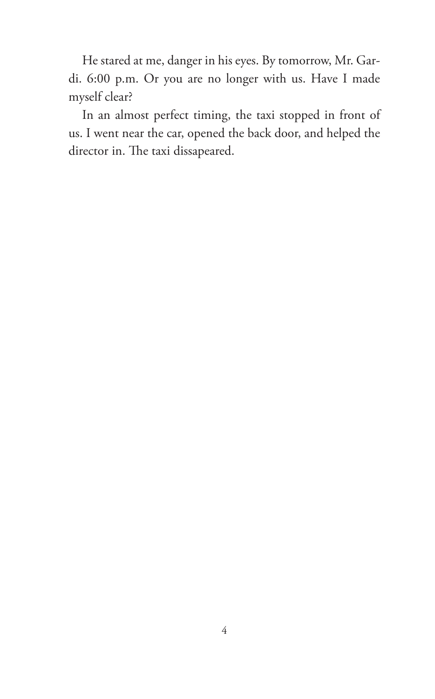He stared at me, danger in his eyes. By tomorrow, Mr. Gardi. 6:00 p.m. Or you are no longer with us. Have I made myself clear?

In an almost perfect timing, the taxi stopped in front of us. I went near the car, opened the back door, and helped the director in. The taxi dissapeared.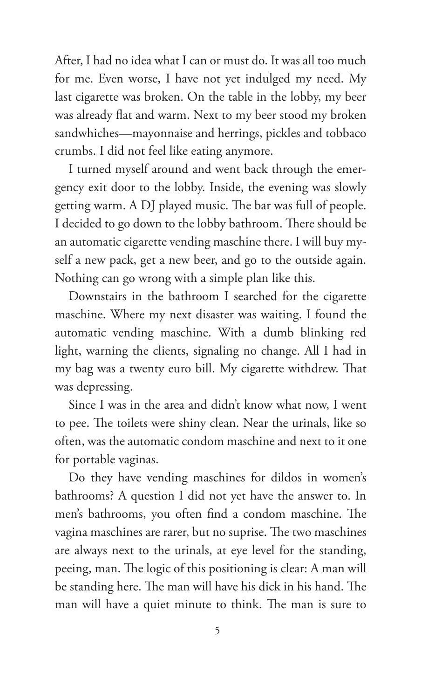After, I had no idea what I can or must do. It was all too much for me. Even worse, I have not yet indulged my need. My last cigarette was broken. On the table in the lobby, my beer was already flat and warm. Next to my beer stood my broken sandwhiches—mayonnaise and herrings, pickles and tobbaco crumbs. I did not feel like eating anymore.

I turned myself around and went back through the emergency exit door to the lobby. Inside, the evening was slowly getting warm. A DJ played music. The bar was full of people. I decided to go down to the lobby bathroom. There should be an automatic cigarette vending maschine there. I will buy myself a new pack, get a new beer, and go to the outside again. Nothing can go wrong with a simple plan like this.

Downstairs in the bathroom I searched for the cigarette maschine. Where my next disaster was waiting. I found the automatic vending maschine. With a dumb blinking red light, warning the clients, signaling no change. All I had in my bag was a twenty euro bill. My cigarette withdrew. That was depressing.

Since I was in the area and didn't know what now, I went to pee. The toilets were shiny clean. Near the urinals, like so often, was the automatic condom maschine and next to it one for portable vaginas.

Do they have vending maschines for dildos in women's bathrooms? A question I did not yet have the answer to. In men's bathrooms, you often find a condom maschine. The vagina maschines are rarer, but no suprise. The two maschines are always next to the urinals, at eye level for the standing, peeing, man. The logic of this positioning is clear: A man will be standing here. The man will have his dick in his hand. The man will have a quiet minute to think. The man is sure to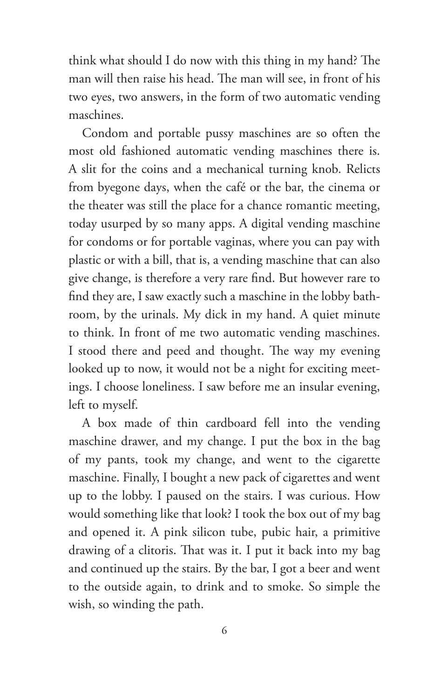think what should I do now with this thing in my hand? The man will then raise his head. The man will see, in front of his two eyes, two answers, in the form of two automatic vending maschines.

Condom and portable pussy maschines are so often the most old fashioned automatic vending maschines there is. A slit for the coins and a mechanical turning knob. Relicts from byegone days, when the café or the bar, the cinema or the theater was still the place for a chance romantic meeting, today usurped by so many apps. A digital vending maschine for condoms or for portable vaginas, where you can pay with plastic or with a bill, that is, a vending maschine that can also give change, is therefore a very rare find. But however rare to find they are, I saw exactly such a maschine in the lobby bathroom, by the urinals. My dick in my hand. A quiet minute to think. In front of me two automatic vending maschines. I stood there and peed and thought. The way my evening looked up to now, it would not be a night for exciting meetings. I choose loneliness. I saw before me an insular evening, left to myself.

A box made of thin cardboard fell into the vending maschine drawer, and my change. I put the box in the bag of my pants, took my change, and went to the cigarette maschine. Finally, I bought a new pack of cigarettes and went up to the lobby. I paused on the stairs. I was curious. How would something like that look? I took the box out of my bag and opened it. A pink silicon tube, pubic hair, a primitive drawing of a clitoris. That was it. I put it back into my bag and continued up the stairs. By the bar, I got a beer and went to the outside again, to drink and to smoke. So simple the wish, so winding the path.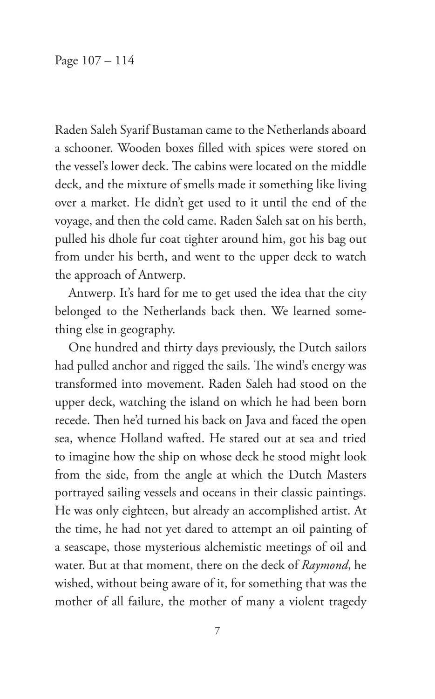Raden Saleh Syarif Bustaman came to the Netherlands aboard a schooner. Wooden boxes filled with spices were stored on the vessel's lower deck. The cabins were located on the middle deck, and the mixture of smells made it something like living over a market. He didn't get used to it until the end of the voyage, and then the cold came. Raden Saleh sat on his berth, pulled his dhole fur coat tighter around him, got his bag out from under his berth, and went to the upper deck to watch the approach of Antwerp.

Antwerp. It's hard for me to get used the idea that the city belonged to the Netherlands back then. We learned something else in geography.

One hundred and thirty days previously, the Dutch sailors had pulled anchor and rigged the sails. The wind's energy was transformed into movement. Raden Saleh had stood on the upper deck, watching the island on which he had been born recede. Then he'd turned his back on Java and faced the open sea, whence Holland wafted. He stared out at sea and tried to imagine how the ship on whose deck he stood might look from the side, from the angle at which the Dutch Masters portrayed sailing vessels and oceans in their classic paintings. He was only eighteen, but already an accomplished artist. At the time, he had not yet dared to attempt an oil painting of a seascape, those mysterious alchemistic meetings of oil and water. But at that moment, there on the deck of *Raymond*, he wished, without being aware of it, for something that was the mother of all failure, the mother of many a violent tragedy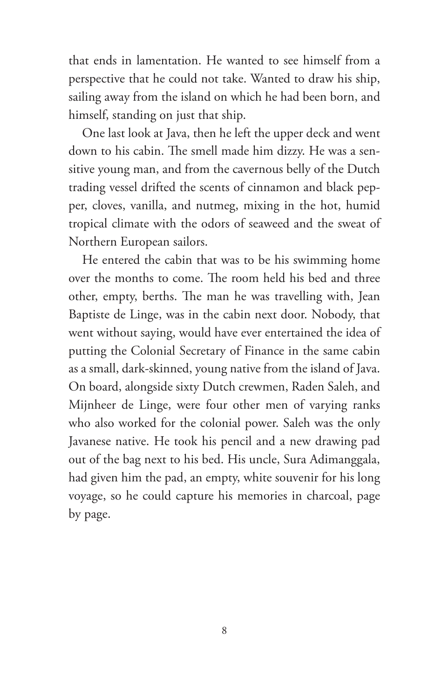that ends in lamentation. He wanted to see himself from a perspective that he could not take. Wanted to draw his ship, sailing away from the island on which he had been born, and himself, standing on just that ship.

One last look at Java, then he left the upper deck and went down to his cabin. The smell made him dizzy. He was a sensitive young man, and from the cavernous belly of the Dutch trading vessel drifted the scents of cinnamon and black pepper, cloves, vanilla, and nutmeg, mixing in the hot, humid tropical climate with the odors of seaweed and the sweat of Northern European sailors.

He entered the cabin that was to be his swimming home over the months to come. The room held his bed and three other, empty, berths. The man he was travelling with, Jean Baptiste de Linge, was in the cabin next door. Nobody, that went without saying, would have ever entertained the idea of putting the Colonial Secretary of Finance in the same cabin as a small, dark-skinned, young native from the island of Java. On board, alongside sixty Dutch crewmen, Raden Saleh, and Mijnheer de Linge, were four other men of varying ranks who also worked for the colonial power. Saleh was the only Javanese native. He took his pencil and a new drawing pad out of the bag next to his bed. His uncle, Sura Adimanggala, had given him the pad, an empty, white souvenir for his long voyage, so he could capture his memories in charcoal, page by page.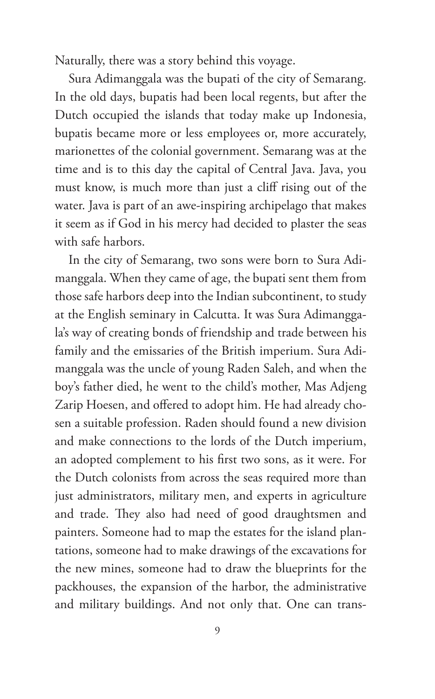Naturally, there was a story behind this voyage.

Sura Adimanggala was the bupati of the city of Semarang. In the old days, bupatis had been local regents, but after the Dutch occupied the islands that today make up Indonesia, bupatis became more or less employees or, more accurately, marionettes of the colonial government. Semarang was at the time and is to this day the capital of Central Java. Java, you must know, is much more than just a cliff rising out of the water. Java is part of an awe-inspiring archipelago that makes it seem as if God in his mercy had decided to plaster the seas with safe harbors.

In the city of Semarang, two sons were born to Sura Adimanggala. When they came of age, the bupati sent them from those safe harbors deep into the Indian subcontinent, to study at the English seminary in Calcutta. It was Sura Adimanggala's way of creating bonds of friendship and trade between his family and the emissaries of the British imperium. Sura Adimanggala was the uncle of young Raden Saleh, and when the boy's father died, he went to the child's mother, Mas Adjeng Zarip Hoesen, and offered to adopt him. He had already chosen a suitable profession. Raden should found a new division and make connections to the lords of the Dutch imperium, an adopted complement to his first two sons, as it were. For the Dutch colonists from across the seas required more than just administrators, military men, and experts in agriculture and trade. They also had need of good draughtsmen and painters. Someone had to map the estates for the island plantations, someone had to make drawings of the excavations for the new mines, someone had to draw the blueprints for the packhouses, the expansion of the harbor, the administrative and military buildings. And not only that. One can trans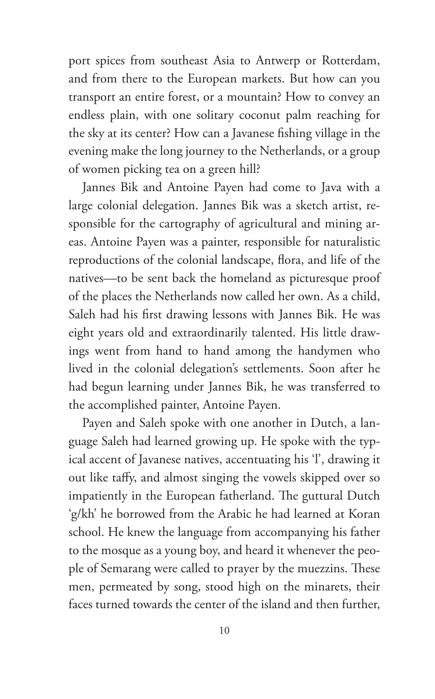port spices from southeast Asia to Antwerp or Rotterdam, and from there to the European markets. But how can you transport an entire forest, or a mountain? How to convey an endless plain, with one solitary coconut palm reaching for the sky at its center? How can a Javanese fishing village in the evening make the long journey to the Netherlands, or a group of women picking tea on a green hill?

Jannes Bik and Antoine Payen had come to Java with a large colonial delegation. Jannes Bik was a sketch artist, responsible for the cartography of agricultural and mining areas. Antoine Payen was a painter, responsible for naturalistic reproductions of the colonial landscape, flora, and life of the natives—to be sent back the homeland as picturesque proof of the places the Netherlands now called her own. As a child, Saleh had his first drawing lessons with Jannes Bik. He was eight years old and extraordinarily talented. His little drawings went from hand to hand among the handymen who lived in the colonial delegation's settlements. Soon after he had begun learning under Jannes Bik, he was transferred to the accomplished painter, Antoine Payen.

Payen and Saleh spoke with one another in Dutch, a language Saleh had learned growing up. He spoke with the typical accent of Javanese natives, accentuating his 'l', drawing it out like taffy, and almost singing the vowels skipped over so impatiently in the European fatherland. The guttural Dutch 'g/kh' he borrowed from the Arabic he had learned at Koran school. He knew the language from accompanying his father to the mosque as a young boy, and heard it whenever the people of Semarang were called to prayer by the muezzins. These men, permeated by song, stood high on the minarets, their faces turned towards the center of the island and then further,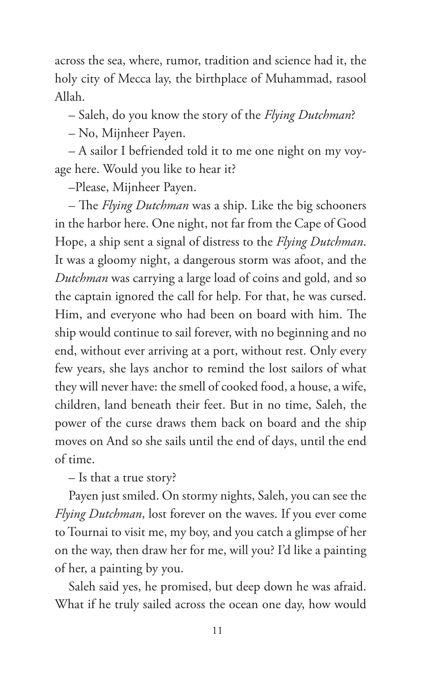across the sea, where, rumor, tradition and science had it, the holy city of Mecca lay, the birthplace of Muhammad, rasool Allah.

– Saleh, do you know the story of the *Flying Dutchman*?

– No, Mijnheer Payen.

– A sailor I befriended told it to me one night on my voyage here. Would you like to hear it?

–Please, Mijnheer Payen.

– The *Flying Dutchman* was a ship. Like the big schooners in the harbor here. One night, not far from the Cape of Good Hope, a ship sent a signal of distress to the *Flying Dutchman*. It was a gloomy night, a dangerous storm was afoot, and the *Dutchman* was carrying a large load of coins and gold, and so the captain ignored the call for help. For that, he was cursed. Him, and everyone who had been on board with him. The ship would continue to sail forever, with no beginning and no end, without ever arriving at a port, without rest. Only every few years, she lays anchor to remind the lost sailors of what they will never have: the smell of cooked food, a house, a wife, children, land beneath their feet. But in no time, Saleh, the power of the curse draws them back on board and the ship moves on And so she sails until the end of days, until the end of time.

– Is that a true story?

Payen just smiled. On stormy nights, Saleh, you can see the *Flying Dutchman*, lost forever on the waves. If you ever come to Tournai to visit me, my boy, and you catch a glimpse of her on the way, then draw her for me, will you? I'd like a painting of her, a painting by you.

Saleh said yes, he promised, but deep down he was afraid. What if he truly sailed across the ocean one day, how would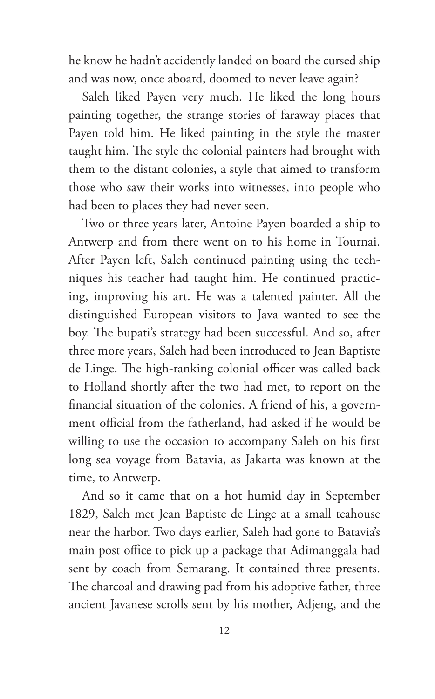he know he hadn't accidently landed on board the cursed ship and was now, once aboard, doomed to never leave again?

Saleh liked Payen very much. He liked the long hours painting together, the strange stories of faraway places that Payen told him. He liked painting in the style the master taught him. The style the colonial painters had brought with them to the distant colonies, a style that aimed to transform those who saw their works into witnesses, into people who had been to places they had never seen.

Two or three years later, Antoine Payen boarded a ship to Antwerp and from there went on to his home in Tournai. After Payen left, Saleh continued painting using the techniques his teacher had taught him. He continued practicing, improving his art. He was a talented painter. All the distinguished European visitors to Java wanted to see the boy. The bupati's strategy had been successful. And so, after three more years, Saleh had been introduced to Jean Baptiste de Linge. The high-ranking colonial officer was called back to Holland shortly after the two had met, to report on the financial situation of the colonies. A friend of his, a government official from the fatherland, had asked if he would be willing to use the occasion to accompany Saleh on his first long sea voyage from Batavia, as Jakarta was known at the time, to Antwerp.

And so it came that on a hot humid day in September 1829, Saleh met Jean Baptiste de Linge at a small teahouse near the harbor. Two days earlier, Saleh had gone to Batavia's main post office to pick up a package that Adimanggala had sent by coach from Semarang. It contained three presents. The charcoal and drawing pad from his adoptive father, three ancient Javanese scrolls sent by his mother, Adjeng, and the